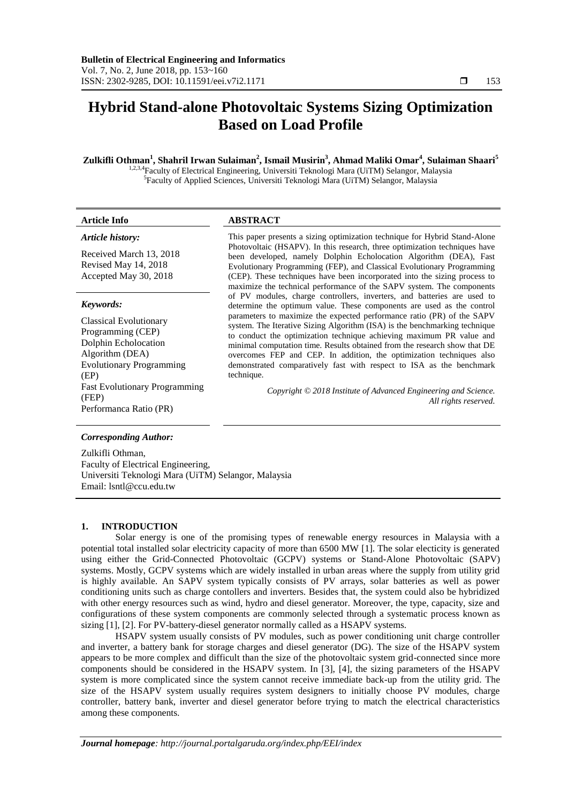# **Hybrid Stand-alone Photovoltaic Systems Sizing Optimization Based on Load Profile**

# **Zulkifli Othman<sup>1</sup> , Shahril Irwan Sulaiman<sup>2</sup> , Ismail Musirin<sup>3</sup> , Ahmad Maliki Omar<sup>4</sup> , Sulaiman Shaari<sup>5</sup>**

<sup>1,2,3,4</sup>Faculty of Electrical Engineering, Universiti Teknologi Mara (UiTM) Selangor, Malaysia 5 Faculty of Applied Sciences, Universiti Teknologi Mara (UiTM) Selangor, Malaysia

#### *Article history:*

Received March 13, 2018 Revised May 14, 2018 Accepted May 30, 2018

#### *Keywords:*

Classical Evolutionary Programming (CEP) Dolphin Echolocation Algorithm (DEA) Evolutionary Programming (EP) Fast Evolutionary Programming (FEP) Performanca Ratio (PR)

# **Article Info ABSTRACT**

This paper presents a sizing optimization technique for Hybrid Stand-Alone Photovoltaic (HSAPV). In this research, three optimization techniques have been developed, namely Dolphin Echolocation Algorithm (DEA), Fast Evolutionary Programming (FEP), and Classical Evolutionary Programming (CEP). These techniques have been incorporated into the sizing process to maximize the technical performance of the SAPV system. The components of PV modules, charge controllers, inverters, and batteries are used to determine the optimum value. These components are used as the control parameters to maximize the expected performance ratio (PR) of the SAPV system. The Iterative Sizing Algorithm (ISA) is the benchmarking technique to conduct the optimization technique achieving maximum PR value and minimal computation time. Results obtained from the research show that DE overcomes FEP and CEP. In addition, the optimization techniques also demonstrated comparatively fast with respect to ISA as the benchmark technique.

> *Copyright © 2018 Institute of Advanced Engineering and Science. All rights reserved.*

# *Corresponding Author:*

Zulkifli Othman, Faculty of Electrical Engineering, Universiti Teknologi Mara (UiTM) Selangor, Malaysia Email: lsntl@ccu.edu.tw

#### **1. INTRODUCTION**

Solar energy is one of the promising types of renewable energy resources in Malaysia with a potential total installed solar electricity capacity of more than 6500 MW [1]. The solar electicity is generated using either the Grid-Connected Photovoltaic (GCPV) systems or Stand-Alone Photovoltaic (SAPV) systems. Mostly, GCPV systems which are widely installed in urban areas where the supply from utility grid is highly available. An SAPV system typically consists of PV arrays, solar batteries as well as power conditioning units such as charge contollers and inverters. Besides that, the system could also be hybridized with other energy resources such as wind, hydro and diesel generator. Moreover, the type, capacity, size and configurations of these system components are commonly selected through a systematic process known as sizing [1], [2]. For PV-battery-diesel generator normally called as a HSAPV systems.

HSAPV system usually consists of PV modules, such as power conditioning unit charge controller and inverter, a battery bank for storage charges and diesel generator (DG). The size of the HSAPV system appears to be more complex and difficult than the size of the photovoltaic system grid-connected since more components should be considered in the HSAPV system. In [3], [4], the sizing parameters of the HSAPV system is more complicated since the system cannot receive immediate back-up from the utility grid. The size of the HSAPV system usually requires system designers to initially choose PV modules, charge controller, battery bank, inverter and diesel generator before trying to match the electrical characteristics among these components.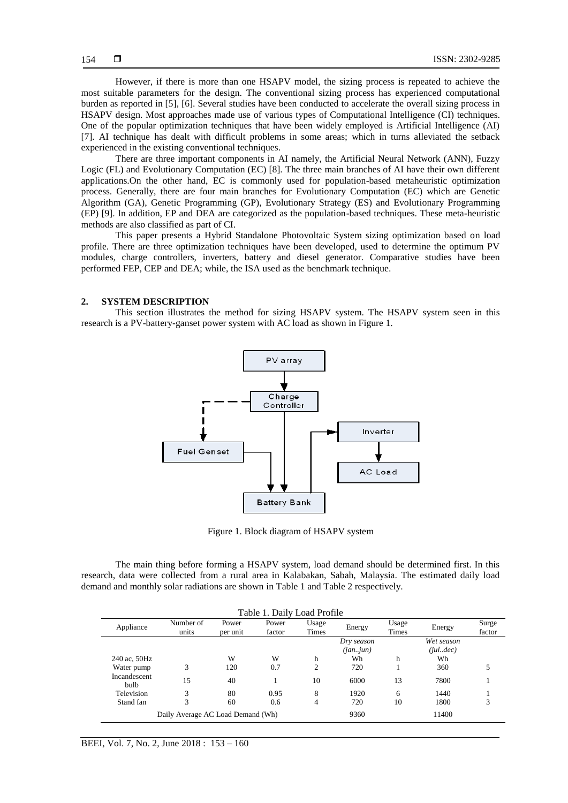However, if there is more than one HSAPV model, the sizing process is repeated to achieve the most suitable parameters for the design. The conventional sizing process has experienced computational burden as reported in [5], [6]. Several studies have been conducted to accelerate the overall sizing process in HSAPV design. Most approaches made use of various types of Computational Intelligence (CI) techniques. One of the popular optimization techniques that have been widely employed is Artificial Intelligence (AI) [7]. AI technique has dealt with difficult problems in some areas; which in turns alleviated the setback experienced in the existing conventional techniques.

There are three important components in AI namely, the Artificial Neural Network (ANN), Fuzzy Logic (FL) and Evolutionary Computation (EC) [8]. The three main branches of AI have their own different applications.On the other hand, EC is commonly used for population-based metaheuristic optimization process. Generally, there are four main branches for Evolutionary Computation (EC) which are Genetic Algorithm (GA), Genetic Programming (GP), Evolutionary Strategy (ES) and Evolutionary Programming (EP) [9]. In addition, EP and DEA are categorized as the population-based techniques. These meta-heuristic methods are also classified as part of CI.

This paper presents a Hybrid Standalone Photovoltaic System sizing optimization based on load profile. There are three optimization techniques have been developed, used to determine the optimum PV modules, charge controllers, inverters, battery and diesel generator. Comparative studies have been performed FEP, CEP and DEA; while, the ISA used as the benchmark technique.

### **2. SYSTEM DESCRIPTION**

This section illustrates the method for sizing HSAPV system. The HSAPV system seen in this research is a PV-battery-ganset power system with AC load as shown in Figure 1.



Figure 1. Block diagram of HSAPV system

The main thing before forming a HSAPV system, load demand should be determined first. In this research, data were collected from a rural area in Kalabakan, Sabah, Malaysia. The estimated daily load demand and monthly solar radiations are shown in Table 1 and Table 2 respectively.

| Table 1. Daily Load Profile |                                   |                   |                 |                |            |                |            |                 |  |
|-----------------------------|-----------------------------------|-------------------|-----------------|----------------|------------|----------------|------------|-----------------|--|
| Appliance                   | Number of<br>units                | Power<br>per unit | Power<br>factor | Usage<br>Times | Energy     | Usage<br>Times | Energy     | Surge<br>factor |  |
|                             |                                   |                   |                 | Dry season     |            |                | Wet season |                 |  |
|                             |                                   |                   |                 |                | (jan. jun) |                | (iul.dec)  |                 |  |
| 240 ac, 50Hz                |                                   | W                 | W               | h              | Wh         | h              | Wh         |                 |  |
| Water pump                  | 3                                 | 120               | 0.7             | 2              | 720        |                | 360        |                 |  |
| Incandescent<br>bulb        | 15                                | 40                |                 | 10             | 6000       | 13             | 7800       |                 |  |
| Television                  | 3                                 | 80                | 0.95            | 8              | 1920       | 6              | 1440       |                 |  |
| Stand fan                   | 3                                 | 60                | 0.6             | 4              | 720        | 10             | 1800       | 3               |  |
|                             | Daily Average AC Load Demand (Wh) |                   |                 |                | 9360       |                | 11400      |                 |  |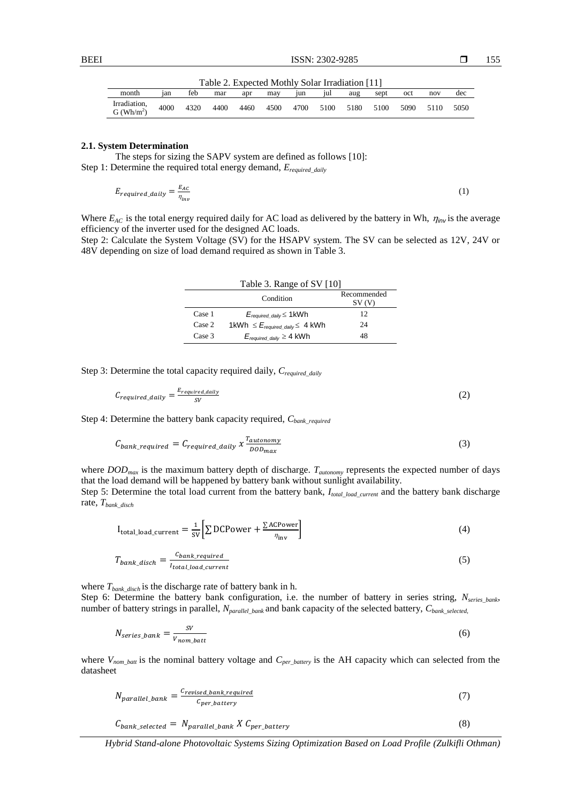| Table 2. Expected Mothly Solar Irradiation [11] |      |      |      |      |      |      |      |      |      |      |      |      |
|-------------------------------------------------|------|------|------|------|------|------|------|------|------|------|------|------|
| month                                           | 1an  | feb  | mar  | apr  | may  | 1un  | ul   | aug  | sept | oct  | nov  | dec  |
| Irradiation.<br>G (Wh/m <sup>2</sup> )          | 4000 | 4320 | 4400 | 4460 | 4500 | 4700 | 5100 | 5180 | 5100 | 5090 | 5110 | 5050 |

#### **2.1. System Determination**

The steps for sizing the SAPV system are defined as follows [10]: Step 1: Determine the required total energy demand, *Erequired\_daily*

$$
E_{required\_daily} = \frac{E_{AC}}{\eta_{inv}} \tag{1}
$$

Where  $E_{AC}$  is the total energy required daily for AC load as delivered by the battery in Wh,  $\eta_{inv}$  is the average efficiency of the inverter used for the designed AC loads.

Step 2: Calculate the System Voltage (SV) for the HSAPV system. The SV can be selected as 12V, 24V or 48V depending on size of load demand required as shown in Table 3.

| Table 3. Range of SV [10] |                                            |                      |  |  |  |
|---------------------------|--------------------------------------------|----------------------|--|--|--|
|                           | Condition                                  | Recommended<br>SV (V |  |  |  |
| Case 1                    | $E_{required \ daily} \leq 1$ kWh          | 12                   |  |  |  |
| Case 2                    | 1kWh $\leq E_{required\ daily} \leq 4$ kWh | 24                   |  |  |  |
| Case 3                    | $E_{required \ daily} \geq 4$ kWh          | 48                   |  |  |  |

Step 3: Determine the total capacity required daily,  $C_{required\ daily}$ 

$$
C_{required\_daily} = \frac{E_{required\_dality}}{SV} \tag{2}
$$

Step 4: Determine the battery bank capacity required, *Cbank\_required*

$$
C_{bank\_required} = C_{required\_daily} \; x \frac{r_{autommy}}{DOD_{max}} \tag{3}
$$

where *DODmax* is the maximum battery depth of discharge. *Tautonomy* represents the expected number of days that the load demand will be happened by battery bank without sunlight availability.

Step 5: Determine the total load current from the battery bank, *Itotal\_load\_current* and the battery bank discharge rate, *Tbank\_disch*

$$
I_{\text{total\_load\_current}} = \frac{1}{\text{sv}} \left[ \sum \text{DCPower} + \frac{\sum \text{ACPower}}{\eta_{\text{inv}}} \right]
$$
 (4)

$$
T_{bank\_disch} = \frac{c_{bank\_required}}{I_{total\_load\_current}}\tag{5}
$$

where *Tbank\_disch* is the discharge rate of battery bank in h. Step 6: Determine the battery bank configuration, i.e. the number of battery in series string, *Nseries\_bank*, number of battery strings in parallel, *Nparallel\_bank* and bank capacity of the selected battery, *Cbank\_selected*,

$$
N_{series\_bank} = \frac{SV}{V_{nom\_batt}}\tag{6}
$$

where  $V_{nom_b$  is the nominal battery voltage and  $C_{per_b$ <sub>battery</sub> is the AH capacity which can selected from the datasheet

$$
N_{parallel\_bank} = \frac{C_{revised\_bank\_required}}{C_{per\_battery}} \tag{7}
$$

$$
C_{bank\_selected} = N_{parallel\_bank} \, X \, C_{per\_battery} \tag{8}
$$

*Hybrid Stand-alone Photovoltaic Systems Sizing Optimization Based on Load Profile (Zulkifli Othman)*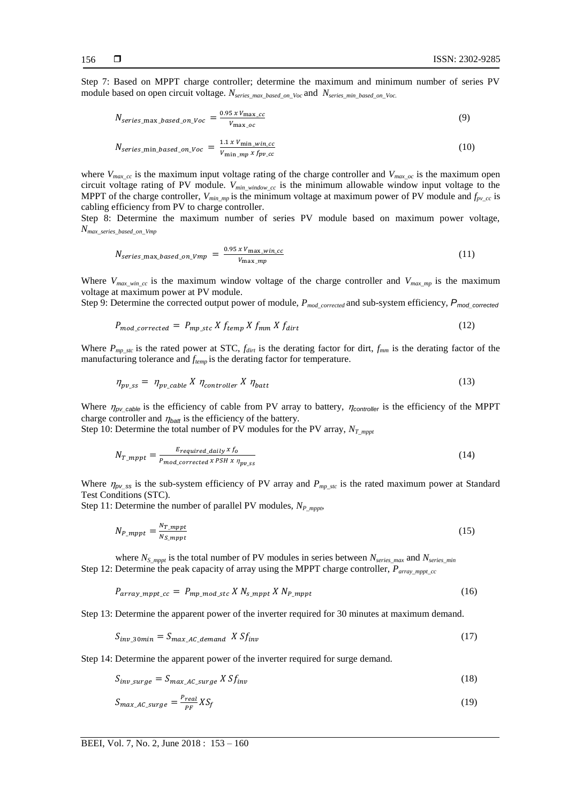156

Step 7: Based on MPPT charge controller; determine the maximum and minimum number of series PV module based on open circuit voltage. N<sub>series max</sub> based on Voc and N<sub>series</sub> min based on Voc.

$$
N_{series\_max\_based\_on\_Voc} = \frac{0.95 \times V_{max\_cc}}{V_{max\_oc}}
$$
(9)

$$
N_{series\_min\_based\_on\_Voc} = \frac{1.1 \times V_{min\_win\_cc}}{V_{min\_mp} \times f_{pv\_cc}}
$$
(10)

where  $V_{max\_cc}$  is the maximum input voltage rating of the charge controller and  $V_{max\_oc}$  is the maximum open circuit voltage rating of PV module. *Vmin\_window\_cc* is the minimum allowable window input voltage to the MPPT of the charge controller,  $V_{min\_mp}$  is the minimum voltage at maximum power of PV module and  $f_{pv\_cc}$  is cabling efficiency from PV to charge controller.

Step 8: Determine the maximum number of series PV module based on maximum power voltage, *Nmax\_series\_based\_on\_Vmp* 

$$
N_{series\_max\_based\_on\_Vmp} = \frac{0.95 \times V_{\text{max\_win\_cc}}}{V_{\text{max\_mp}}}
$$
(11)

Where  $V_{max\text{ win } cc}$  is the maximum window voltage of the charge controller and  $V_{max\text{ min}}$  is the maximum voltage at maximum power at PV module.

Step 9: Determine the corrected output power of module, *Pmod\_corrected* and sub-system efficiency, *Pmod\_corrected*

$$
P_{mod\_corrected} = P_{mp\_stc} X f_{temp} X f_{mm} X f_{dirt}
$$
\n(12)

Where  $P_{mp\_stc}$  is the rated power at STC,  $f_{dirt}$  is the derating factor for dirt,  $f_{mm}$  is the derating factor of the manufacturing tolerance and *ftemp* is the derating factor for temperature.

$$
\eta_{pv\_ss} = \eta_{pv\_cable} X \eta_{controller} X \eta_{batt} \tag{13}
$$

Where  $\eta_{pv\_cable}$  is the efficiency of cable from PV array to battery,  $\eta_{controller}$  is the efficiency of the MPPT charge controller and  $\eta_{\text{batt}}$  is the efficiency of the battery.

Step 10: Determine the total number of PV modules for the PV array, *NT\_mppt*

$$
N_{T\_mppt} = \frac{E_{required\_daily} \times f_o}{P_{mod\_corrected} \times PSH \times \eta_{pv\_SS}}
$$
(14)

Where  $\eta_{pv\_ss}$  is the sub-system efficiency of PV array and  $P_{mp\_stc}$  is the rated maximum power at Standard Test Conditions (STC).

Step 11: Determine the number of parallel PV modules, *NP\_mppt*,

$$
N_{P\_mppt} = \frac{N_{T\_mppt}}{N_{S\_mppt}}\tag{15}
$$

where  $N_{S\ mput}$  is the total number of PV modules in series between  $N_{series\ max}$  and  $N_{series\ min}$ Step 12: Determine the peak capacity of array using the MPPT charge controller,  $P_{array\_mnotcc}$ 

$$
P_{array\_mppt\_cc} = P_{mp\_mod\_stc} \, X \, N_{s\_mppt} \, X \, N_{P\_mppt} \tag{16}
$$

Step 13: Determine the apparent power of the inverter required for 30 minutes at maximum demand.

$$
S_{inv\_30min} = S_{max\_AC\_demand} \; X \, S f_{inv} \tag{17}
$$

Step 14: Determine the apparent power of the inverter required for surge demand.

$$
S_{inv\_surge} = S_{max\_AC\_surge} \, X \, S f_{inv} \tag{18}
$$

$$
S_{max\_AC\_surface} = \frac{P_{real}}{PF} X S_f \tag{19}
$$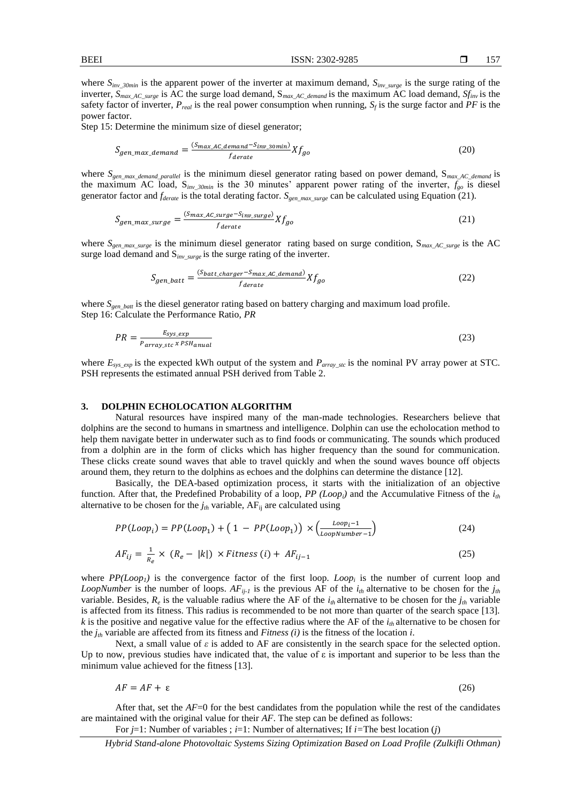Step 15: Determine the minimum size of diesel generator;

$$
S_{gen\_max\_demand} = \frac{(S_{max\_AC\_demand} - S_{inv\_3omin})}{f_{derate}} X f_{go}
$$
\n(20)

where  $S_{\text{gen max}\xspace demand\space parallel}$  is the minimum diesel generator rating based on power demand, S<sub>max AC</sub> demand is the maximum AC load, S*inv\_30min* is the 30 minutes' apparent power rating of the inverter, *fgo* is diesel generator factor and *fderate* is the total derating factor. *Sgen\_max\_surge* can be calculated using Equation (21).

$$
S_{gen\_max\_surface} = \frac{(S_{max\_AC\_surface} - S_{inv\_surface})}{f_{derate}} X f_{go}
$$
 (21)

where *Sgen\_max\_surge* is the minimum diesel generator rating based on surge condition, S*max\_AC\_surge* is the AC surge load demand and S*inv\_surge* is the surge rating of the inverter.

$$
S_{gen\_batt} = \frac{(S_{batt\_charge} - S_{max\_AC\_demand})}{f_{derate}} X f_{go}
$$
 (22)

where  $S_{gen$  batt is the diesel generator rating based on battery charging and maximum load profile. Step 16: Calculate the Performance Ratio, *PR* 

$$
PR = \frac{E_{sys\_exp}}{P_{array\_stc} \times PSH_{anual}}
$$
(23)

where  $E_{sys\ exp}$  is the expected kWh output of the system and  $P_{array\ SE}$  is the nominal PV array power at STC. PSH represents the estimated annual PSH derived from Table 2.

#### **3. DOLPHIN ECHOLOCATION ALGORITHM**

Natural resources have inspired many of the man-made technologies. Researchers believe that dolphins are the second to humans in smartness and intelligence. Dolphin can use the echolocation method to help them navigate better in underwater such as to find foods or communicating. The sounds which produced from a dolphin are in the form of clicks which has higher frequency than the sound for communication. These clicks create sound waves that able to travel quickly and when the sound waves bounce off objects around them, they return to the dolphins as echoes and the dolphins can determine the distance [12].

Basically, the DEA-based optimization process, it starts with the initialization of an objective function. After that, the Predefined Probability of a loop, *PP* (Loop<sub>i</sub>) and the Accumulative Fitness of the  $i_{th}$ alternative to be chosen for the  $j<sub>th</sub>$  variable, AF<sub>ij</sub> are calculated using

$$
PP(Loopi) = PP(Loop1) + (1 - PP(Loop1)) \times \left(\frac{Loopi - 1}{LoopNumber - 1}\right)
$$
 (24)

$$
AF_{ij} = \frac{1}{R_e} \times (R_e - |k|) \times Fitness (i) + AF_{ij-1}
$$
\n(25)

where  $PP(Loop_1)$  is the convergence factor of the first loop. *Loop<sub>i</sub>* is the number of current loop and *LoopNumber* is the number of loops.  $AF_{ij-1}$  is the previous AF of the  $i_{th}$  alternative to be chosen for the  $j_{th}$ variable. Besides,  $R_e$  is the valuable radius where the AF of the  $i_{th}$  alternative to be chosen for the  $j_{th}$  variable is affected from its fitness. This radius is recommended to be not more than quarter of the search space [13]. *k* is the positive and negative value for the effective radius where the AF of the *ith* alternative to be chosen for the *jth* variable are affected from its fitness and *Fitness (i)* is the fitness of the location *i*.

Next, a small value of  $\varepsilon$  is added to AF are consistently in the search space for the selected option. Up to now, previous studies have indicated that, the value of  $\varepsilon$  is important and superior to be less than the minimum value achieved for the fitness [13].

$$
AF = AF + \varepsilon \tag{26}
$$

After that, set the *AF*=0 for the best candidates from the population while the rest of the candidates are maintained with the original value for their *AF*. The step can be defined as follows:

For *j*=1: Number of variables ; *i*=1: Number of alternatives; If *i=*The best location (*j*)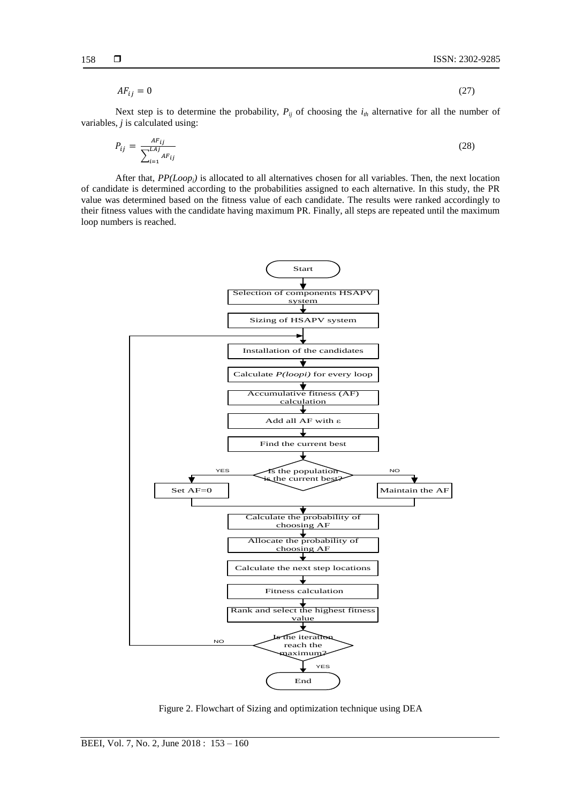$$
AF_{ij} = 0 \tag{27}
$$

Next step is to determine the probability,  $P_{ij}$  of choosing the  $i_{th}$  alternative for all the number of variables, *j* is calculated using:

$$
P_{ij} = \frac{AF_{ij}}{\sum_{i=1}^{LAI} AF_{ij}}
$$
 (28)

After that, *PP(Loopi)* is allocated to all alternatives chosen for all variables. Then, the next location of candidate is determined according to the probabilities assigned to each alternative. In this study, the PR value was determined based on the fitness value of each candidate. The results were ranked accordingly to their fitness values with the candidate having maximum PR. Finally, all steps are repeated until the maximum loop numbers is reached.



Figure 2. Flowchart of Sizing and optimization technique using DEA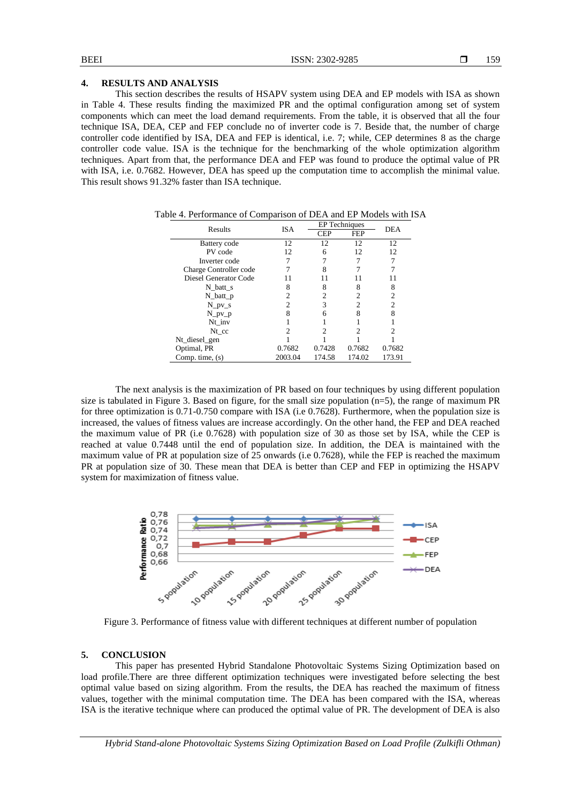# **4. RESULTS AND ANALYSIS**

This section describes the results of HSAPV system using DEA and EP models with ISA as shown in Table 4. These results finding the maximized PR and the optimal configuration among set of system components which can meet the load demand requirements. From the table, it is observed that all the four technique ISA, DEA, CEP and FEP conclude no of inverter code is 7. Beside that, the number of charge controller code identified by ISA, DEA and FEP is identical, i.e. 7; while, CEP determines 8 as the charge controller code value. ISA is the technique for the benchmarking of the whole optimization algorithm techniques. Apart from that, the performance DEA and FEP was found to produce the optimal value of PR with ISA, i.e. 0.7682. However, DEA has speed up the computation time to accomplish the minimal value. This result shows 91.32% faster than ISA technique.

| Results                | ISA     | <b>EP</b> Techniques | <b>DEA</b> |                |  |
|------------------------|---------|----------------------|------------|----------------|--|
|                        |         | <b>CEP</b>           | <b>FEP</b> |                |  |
| Battery code           | 12      | 12                   | 12         | 12             |  |
| PV code                | 12      | 6                    | 12         | 12             |  |
| Inverter code          |         |                      |            |                |  |
| Charge Controller code |         | 8                    |            |                |  |
| Diesel Generator Code  |         |                      |            |                |  |
| N batt s               | 8       | 8                    | 8          | 8              |  |
| $N$ _batt_p            | 2       |                      | 2          | $\overline{c}$ |  |
| N pv s                 | 2       | 3                    | 2          | $\overline{c}$ |  |
| $N_p$ v_p              | 8       | 6                    | 8          | 8              |  |
| Nt inv                 |         |                      |            |                |  |
| $Nt_{\rm c}$           |         |                      |            |                |  |
| Nt_diesel_gen          |         |                      |            |                |  |
| Optimal, PR            | 0.7682  | 0.7428               | 0.7682     | 0.7682         |  |
| Comp. time, $(s)$      | 2003.04 | 174.58               | 174.02     | 173.91         |  |

Table 4. Performance of Comparison of DEA and EP Models with ISA

The next analysis is the maximization of PR based on four techniques by using different population size is tabulated in Figure 3. Based on figure, for the small size population (n=5), the range of maximum PR for three optimization is 0.71-0.750 compare with ISA (i.e 0.7628). Furthermore, when the population size is increased, the values of fitness values are increase accordingly. On the other hand, the FEP and DEA reached the maximum value of PR (i.e 0.7628) with population size of 30 as those set by ISA, while the CEP is reached at value 0.7448 until the end of population size. In addition, the DEA is maintained with the maximum value of PR at population size of 25 onwards (i.e 0.7628), while the FEP is reached the maximum PR at population size of 30. These mean that DEA is better than CEP and FEP in optimizing the HSAPV system for maximization of fitness value.



Figure 3. Performance of fitness value with different techniques at different number of population

### **5. CONCLUSION**

This paper has presented Hybrid Standalone Photovoltaic Systems Sizing Optimization based on load profile.There are three different optimization techniques were investigated before selecting the best optimal value based on sizing algorithm. From the results, the DEA has reached the maximum of fitness values, together with the minimal computation time. The DEA has been compared with the ISA, whereas ISA is the iterative technique where can produced the optimal value of PR. The development of DEA is also